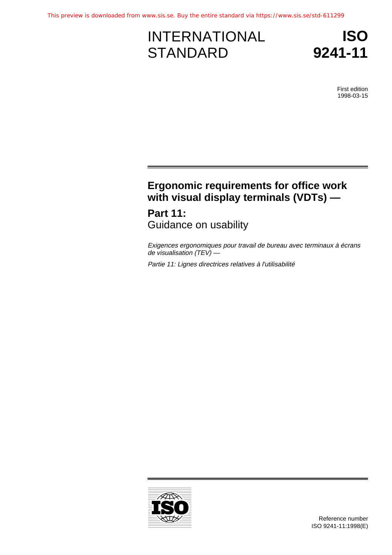# INTERNATIONAL **STANDARD**



First edition 1998-03-15

## **Ergonomic requirements for office work with visual display terminals (VDTs) —**

**Part 11:** Guidance on usability

Exigences ergonomiques pour travail de bureau avec terminaux à écrans de visualisation  $(TEV)$  —

Partie 11: Lignes directrices relatives à l'utilisabilité

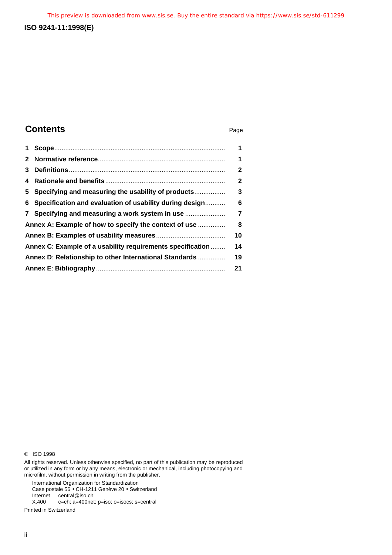### **ISO 9241-11:1998(E)**

### **Contents** Page

| 1                                                      |                                                            | 1              |
|--------------------------------------------------------|------------------------------------------------------------|----------------|
|                                                        |                                                            | 1              |
| 3                                                      |                                                            | 2              |
| 4                                                      |                                                            | $\overline{2}$ |
|                                                        | 5 Specifying and measuring the usability of products       | 3              |
|                                                        | 6 Specification and evaluation of usability during design  | 6              |
|                                                        | 7 Specifying and measuring a work system in use            | 7              |
|                                                        | Annex A: Example of how to specify the context of use      |                |
|                                                        |                                                            |                |
|                                                        | Annex C: Example of a usability requirements specification |                |
| Annex D: Relationship to other International Standards |                                                            | 19             |
|                                                        |                                                            |                |

© ISO 1998

All rights reserved. Unless otherwise specified, no part of this publication may be reproduced or utilized in any form or by any means, electronic or mechanical, including photocopying and microfilm, without permission in writing from the publisher.

International Organization for Standardization

Case postale 56 • CH-1211 Genève 20 • Switzerland

Internet central@iso.ch<br>X.400 c=ch; a=400net

c=ch; a=400net; p=iso; o=isocs; s=central

Printed in Switzerland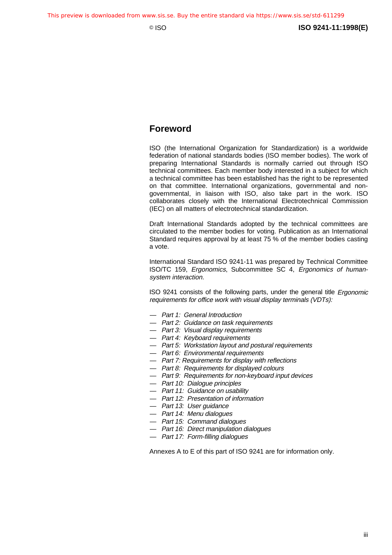### **Foreword**

ISO (the International Organization for Standardization) is a worldwide federation of national standards bodies (ISO member bodies). The work of preparing International Standards is normally carried out through ISO technical committees. Each member body interested in a subject for which a technical committee has been established has the right to be represented on that committee. International organizations, governmental and nongovernmental, in liaison with ISO, also take part in the work. ISO collaborates closely with the International Electrotechnical Commission (IEC) on all matters of electrotechnical standardization.

Draft International Standards adopted by the technical committees are circulated to the member bodies for voting. Publication as an International Standard requires approval by at least 75 % of the member bodies casting a vote.

International Standard ISO 9241-11 was prepared by Technical Committee ISO/TC 159, Ergonomics, Subcommittee SC 4, Ergonomics of humansystem interaction.

ISO 9241 consists of the following parts, under the general title Ergonomic requirements for office work with visual display terminals (VDTs):

- Part 1: General Introduction
- Part 2: Guidance on task requirements
- Part 3: Visual display requirements
- Part 4: Keyboard requirements
- Part 5: Workstation layout and postural requirements
- Part 6: Environmental requirements
- Part 7: Requirements for display with reflections
- Part 8: Requirements for displayed colours
- Part 9: Requirements for non-keyboard input devices
- Part 10: Dialogue principles
- Part 11: Guidance on usability
- Part 12: Presentation of information
- Part 13: User guidance
- Part 14: Menu dialogues
- Part 15: Command dialogues
- Part 16: Direct manipulation dialogues
- Part 17: Form-filling dialogues

Annexes A to E of this part of ISO 9241 are for information only.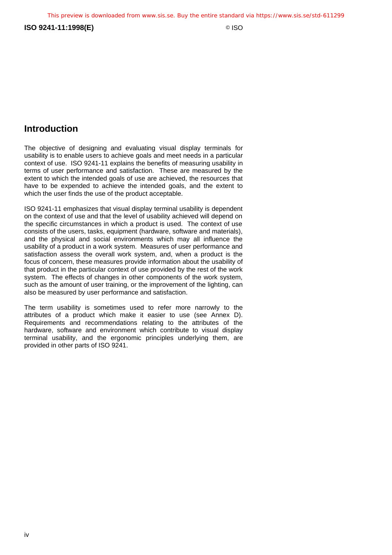**ISO 9241-11:1998(E)** © ISO

### **Introduction**

The objective of designing and evaluating visual display terminals for usability is to enable users to achieve goals and meet needs in a particular context of use. ISO 9241-11 explains the benefits of measuring usability in terms of user performance and satisfaction. These are measured by the extent to which the intended goals of use are achieved, the resources that have to be expended to achieve the intended goals, and the extent to which the user finds the use of the product acceptable.

ISO 9241-11 emphasizes that visual display terminal usability is dependent on the context of use and that the level of usability achieved will depend on the specific circumstances in which a product is used. The context of use consists of the users, tasks, equipment (hardware, software and materials), and the physical and social environments which may all influence the usability of a product in a work system. Measures of user performance and satisfaction assess the overall work system, and, when a product is the focus of concern, these measures provide information about the usability of that product in the particular context of use provided by the rest of the work system. The effects of changes in other components of the work system, such as the amount of user training, or the improvement of the lighting, can also be measured by user performance and satisfaction.

The term usability is sometimes used to refer more narrowly to the attributes of a product which make it easier to use (see Annex D). Requirements and recommendations relating to the attributes of the hardware, software and environment which contribute to visual display terminal usability, and the ergonomic principles underlying them, are provided in other parts of ISO 9241.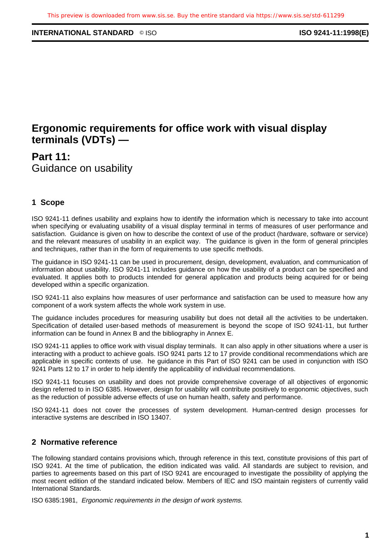### **INTERNATIONAL STANDARD** ◎ ISO **ISO 8241-11:1998(E)**

### **Ergonomic requirements for office work with visual display terminals (VDTs) —**

**Part 11:** Guidance on usability

### **1 Scope**

ISO 9241-11 defines usability and explains how to identify the information which is necessary to take into account when specifying or evaluating usability of a visual display terminal in terms of measures of user performance and satisfaction. Guidance is given on how to describe the context of use of the product (hardware, software or service) and the relevant measures of usability in an explicit way. The guidance is given in the form of general principles and techniques, rather than in the form of requirements to use specific methods.

The guidance in ISO 9241-11 can be used in procurement, design, development, evaluation, and communication of information about usability. ISO 9241-11 includes guidance on how the usability of a product can be specified and evaluated. It applies both to products intended for general application and products being acquired for or being developed within a specific organization.

ISO 9241-11 also explains how measures of user performance and satisfaction can be used to measure how any component of a work system affects the whole work system in use.

The guidance includes procedures for measuring usability but does not detail all the activities to be undertaken. Specification of detailed user-based methods of measurement is beyond the scope of ISO 9241-11, but further information can be found in Annex B and the bibliography in Annex E.

ISO 9241-11 applies to office work with visual display terminals. It can also apply in other situations where a user is interacting with a product to achieve goals. ISO 9241 parts 12 to 17 provide conditional recommendations which are applicable in specific contexts of use. he guidance in this Part of ISO 9241 can be used in conjunction with ISO 9241 Parts 12 to 17 in order to help identify the applicability of individual recommendations.

ISO 9241-11 focuses on usability and does not provide comprehensive coverage of all objectives of ergonomic design referred to in ISO 6385. However, design for usability will contribute positively to ergonomic objectives, such as the reduction of possible adverse effects of use on human health, safety and performance.

ISO 9241-11 does not cover the processes of system development. Human-centred design processes for interactive systems are described in ISO 13407.

### **2 Normative reference**

The following standard contains provisions which, through reference in this text, constitute provisions of this part of ISO 9241. At the time of publication, the edition indicated was valid. All standards are subject to revision, and parties to agreements based on this part of ISO 9241 are encouraged to investigate the possibility of applying the most recent edition of the standard indicated below. Members of IEC and ISO maintain registers of currently valid International Standards.

ISO 6385:1981, Ergonomic requirements in the design of work systems.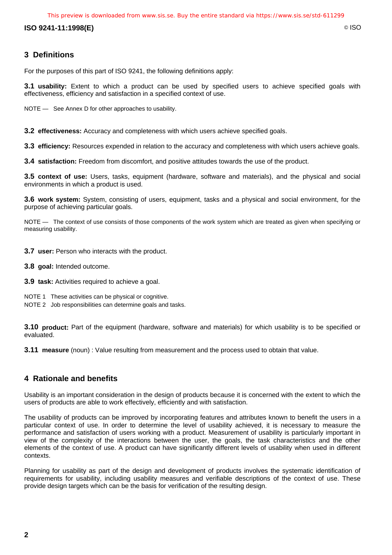This preview is downloaded from www.sis.se. Buy the entire standard via https://www.sis.se/std-611299

**ISO 9241-11:1998(E)** © ISO

### **3 Definitions**

For the purposes of this part of ISO 9241, the following definitions apply:

**3.1 usability:** Extent to which a product can be used by specified users to achieve specified goals with effectiveness, efficiency and satisfaction in a specified context of use.

NOTE — See Annex D for other approaches to usability.

**3.2 effectiveness:** Accuracy and completeness with which users achieve specified goals.

**3.3 efficiency:** Resources expended in relation to the accuracy and completeness with which users achieve goals.

**3.4 satisfaction:** Freedom from discomfort, and positive attitudes towards the use of the product.

**3.5 context of use:** Users, tasks, equipment (hardware, software and materials), and the physical and social environments in which a product is used.

**3.6 work system:** System, consisting of users, equipment, tasks and a physical and social environment, for the purpose of achieving particular goals.

NOTE — The context of use consists of those components of the work system which are treated as given when specifying or measuring usability.

**3.7 user:** Person who interacts with the product.

- **3.8 goal:** Intended outcome.
- **3.9 task:** Activities required to achieve a goal.
- NOTE 1 These activities can be physical or cognitive.
- NOTE 2 Job responsibilities can determine goals and tasks.

**3.10 product:** Part of the equipment (hardware, software and materials) for which usability is to be specified or evaluated.

**3.11 measure** (noun) : Value resulting from measurement and the process used to obtain that value.

### **4 Rationale and benefits**

Usability is an important consideration in the design of products because it is concerned with the extent to which the users of products are able to work effectively, efficiently and with satisfaction.

The usability of products can be improved by incorporating features and attributes known to benefit the users in a particular context of use. In order to determine the level of usability achieved, it is necessary to measure the performance and satisfaction of users working with a product. Measurement of usability is particularly important in view of the complexity of the interactions between the user, the goals, the task characteristics and the other elements of the context of use. A product can have significantly different levels of usability when used in different contexts.

Planning for usability as part of the design and development of products involves the systematic identification of requirements for usability, including usability measures and verifiable descriptions of the context of use. These provide design targets which can be the basis for verification of the resulting design.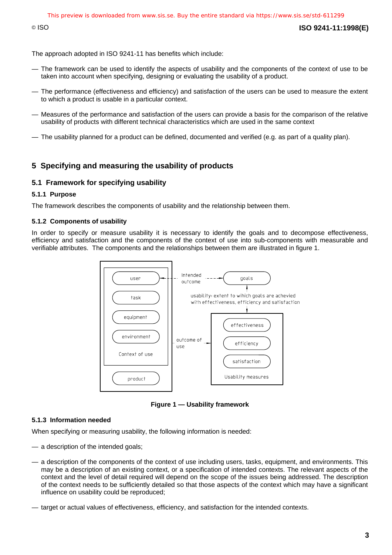© ISO **ISO 9241-11:1998(E)**

The approach adopted in ISO 9241-11 has benefits which include:

- The framework can be used to identify the aspects of usability and the components of the context of use to be taken into account when specifying, designing or evaluating the usability of a product.
- The performance (effectiveness and efficiency) and satisfaction of the users can be used to measure the extent to which a product is usable in a particular context.
- Measures of the performance and satisfaction of the users can provide a basis for the comparison of the relative usability of products with different technical characteristics which are used in the same context
- The usability planned for a product can be defined, documented and verified (e.g. as part of a quality plan).

### **5 Specifying and measuring the usability of products**

#### **5.1 Framework for specifying usability**

#### **5.1.1 Purpose**

The framework describes the components of usability and the relationship between them.

#### **5.1.2 Components of usability**

In order to specify or measure usability it is necessary to identify the goals and to decompose effectiveness, efficiency and satisfaction and the components of the context of use into sub-components with measurable and verifiable attributes. The components and the relationships between them are illustrated in figure 1.



**Figure 1 — Usability framework**

#### **5.1.3 Information needed**

When specifying or measuring usability, the following information is needed:

- a description of the intended goals;
- a description of the components of the context of use including users, tasks, equipment, and environments. This may be a description of an existing context, or a specification of intended contexts. The relevant aspects of the context and the level of detail required will depend on the scope of the issues being addressed. The description of the context needs to be sufficiently detailed so that those aspects of the context which may have a significant influence on usability could be reproduced;
- target or actual values of effectiveness, efficiency, and satisfaction for the intended contexts.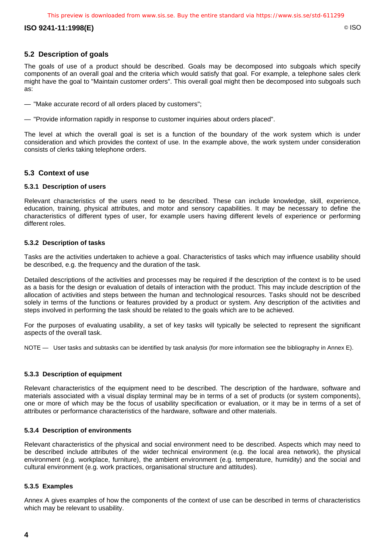#### **ISO 9241-11:1998(E)** © ISO

### **5.2 Description of goals**

The goals of use of a product should be described. Goals may be decomposed into subgoals which specify components of an overall goal and the criteria which would satisfy that goal. For example, a telephone sales clerk might have the goal to "Maintain customer orders". This overall goal might then be decomposed into subgoals such as:

- "Make accurate record of all orders placed by customers";
- "Provide information rapidly in response to customer inquiries about orders placed".

The level at which the overall goal is set is a function of the boundary of the work system which is under consideration and which provides the context of use. In the example above, the work system under consideration consists of clerks taking telephone orders.

#### **5.3 Context of use**

#### **5.3.1 Description of users**

Relevant characteristics of the users need to be described. These can include knowledge, skill, experience, education, training, physical attributes, and motor and sensory capabilities. It may be necessary to define the characteristics of different types of user, for example users having different levels of experience or performing different roles.

#### **5.3.2 Description of tasks**

Tasks are the activities undertaken to achieve a goal. Characteristics of tasks which may influence usability should be described, e.g. the frequency and the duration of the task.

Detailed descriptions of the activities and processes may be required if the description of the context is to be used as a basis for the design or evaluation of details of interaction with the product. This may include description of the allocation of activities and steps between the human and technological resources. Tasks should not be described solely in terms of the functions or features provided by a product or system. Any description of the activities and steps involved in performing the task should be related to the goals which are to be achieved.

For the purposes of evaluating usability, a set of key tasks will typically be selected to represent the significant aspects of the overall task.

NOTE — User tasks and subtasks can be identified by task analysis (for more information see the bibliography in Annex E).

#### **5.3.3 Description of equipment**

Relevant characteristics of the equipment need to be described. The description of the hardware, software and materials associated with a visual display terminal may be in terms of a set of products (or system components), one or more of which may be the focus of usability specification or evaluation, or it may be in terms of a set of attributes or performance characteristics of the hardware, software and other materials.

#### **5.3.4 Description of environments**

Relevant characteristics of the physical and social environment need to be described. Aspects which may need to be described include attributes of the wider technical environment (e.g. the local area network), the physical environment (e.g. workplace, furniture), the ambient environment (e.g. temperature, humidity) and the social and cultural environment (e.g. work practices, organisational structure and attitudes).

#### **5.3.5 Examples**

Annex A gives examples of how the components of the context of use can be described in terms of characteristics which may be relevant to usability.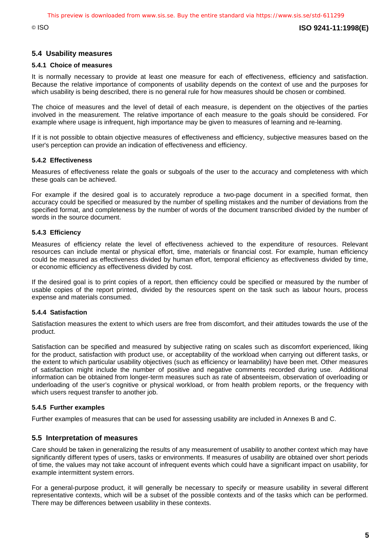### **5.4 Usability measures**

#### **5.4.1 Choice of measures**

It is normally necessary to provide at least one measure for each of effectiveness, efficiency and satisfaction. Because the relative importance of components of usability depends on the context of use and the purposes for which usability is being described, there is no general rule for how measures should be chosen or combined.

The choice of measures and the level of detail of each measure, is dependent on the objectives of the parties involved in the measurement. The relative importance of each measure to the goals should be considered. For example where usage is infrequent, high importance may be given to measures of learning and re-learning.

If it is not possible to obtain objective measures of effectiveness and efficiency, subjective measures based on the user's perception can provide an indication of effectiveness and efficiency.

#### **5.4.2 Effectiveness**

Measures of effectiveness relate the goals or subgoals of the user to the accuracy and completeness with which these goals can be achieved.

For example if the desired goal is to accurately reproduce a two-page document in a specified format, then accuracy could be specified or measured by the number of spelling mistakes and the number of deviations from the specified format, and completeness by the number of words of the document transcribed divided by the number of words in the source document.

#### **5.4.3 Efficiency**

Measures of efficiency relate the level of effectiveness achieved to the expenditure of resources. Relevant resources can include mental or physical effort, time, materials or financial cost. For example, human efficiency could be measured as effectiveness divided by human effort, temporal efficiency as effectiveness divided by time, or economic efficiency as effectiveness divided by cost.

If the desired goal is to print copies of a report, then efficiency could be specified or measured by the number of usable copies of the report printed, divided by the resources spent on the task such as labour hours, process expense and materials consumed.

#### **5.4.4 Satisfaction**

Satisfaction measures the extent to which users are free from discomfort, and their attitudes towards the use of the product.

Satisfaction can be specified and measured by subjective rating on scales such as discomfort experienced, liking for the product, satisfaction with product use, or acceptability of the workload when carrying out different tasks, or the extent to which particular usability objectives (such as efficiency or learnability) have been met. Other measures of satisfaction might include the number of positive and negative comments recorded during use. Additional information can be obtained from longer-term measures such as rate of absenteeism, observation of overloading or underloading of the user's cognitive or physical workload, or from health problem reports, or the frequency with which users request transfer to another job.

#### **5.4.5 Further examples**

Further examples of measures that can be used for assessing usability are included in Annexes B and C.

#### **5.5 Interpretation of measures**

Care should be taken in generalizing the results of any measurement of usability to another context which may have significantly different types of users, tasks or environments. If measures of usability are obtained over short periods of time, the values may not take account of infrequent events which could have a significant impact on usability, for example intermittent system errors.

For a general-purpose product, it will generally be necessary to specify or measure usability in several different representative contexts, which will be a subset of the possible contexts and of the tasks which can be performed. There may be differences between usability in these contexts.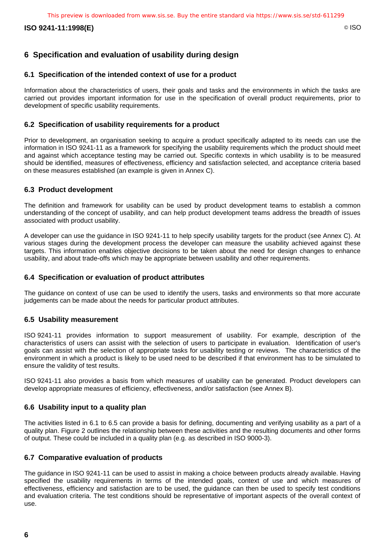**ISO 9241-11:1998(E)** © ISO

### **6 Specification and evaluation of usability during design**

### **6.1 Specification of the intended context of use for a product**

Information about the characteristics of users, their goals and tasks and the environments in which the tasks are carried out provides important information for use in the specification of overall product requirements, prior to development of specific usability requirements.

### **6.2 Specification of usability requirements for a product**

Prior to development, an organisation seeking to acquire a product specifically adapted to its needs can use the information in ISO 9241-11 as a framework for specifying the usability requirements which the product should meet and against which acceptance testing may be carried out. Specific contexts in which usability is to be measured should be identified, measures of effectiveness, efficiency and satisfaction selected, and acceptance criteria based on these measures established (an example is given in Annex C).

### **6.3 Product development**

The definition and framework for usability can be used by product development teams to establish a common understanding of the concept of usability, and can help product development teams address the breadth of issues associated with product usability.

A developer can use the guidance in ISO 9241-11 to help specify usability targets for the product (see Annex C). At various stages during the development process the developer can measure the usability achieved against these targets. This information enables objective decisions to be taken about the need for design changes to enhance usability, and about trade-offs which may be appropriate between usability and other requirements.

### **6.4 Specification or evaluation of product attributes**

The guidance on context of use can be used to identify the users, tasks and environments so that more accurate judgements can be made about the needs for particular product attributes.

### **6.5 Usability measurement**

ISO 9241-11 provides information to support measurement of usability. For example, description of the characteristics of users can assist with the selection of users to participate in evaluation. Identification of user's goals can assist with the selection of appropriate tasks for usability testing or reviews. The characteristics of the environment in which a product is likely to be used need to be described if that environment has to be simulated to ensure the validity of test results.

ISO 9241-11 also provides a basis from which measures of usability can be generated. Product developers can develop appropriate measures of efficiency, effectiveness, and/or satisfaction (see Annex B).

### **6.6 Usability input to a quality plan**

The activities listed in 6.1 to 6.5 can provide a basis for defining, documenting and verifying usability as a part of a quality plan. Figure 2 outlines the relationship between these activities and the resulting documents and other forms of output. These could be included in a quality plan (e.g. as described in ISO 9000-3).

### **6.7 Comparative evaluation of products**

The guidance in ISO 9241-11 can be used to assist in making a choice between products already available. Having specified the usability requirements in terms of the intended goals, context of use and which measures of effectiveness, efficiency and satisfaction are to be used, the guidance can then be used to specify test conditions and evaluation criteria. The test conditions should be representative of important aspects of the overall context of use.